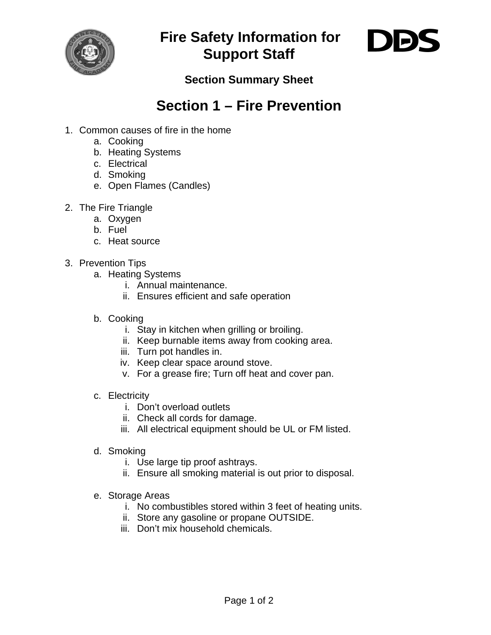

**Fire Safety Information for Support Staff** 



## **Section Summary Sheet**

## **Section 1 – Fire Prevention**

- 1. Common causes of fire in the home
	- a. Cooking
	- b. Heating Systems
	- c. Electrical
	- d. Smoking
	- e. Open Flames (Candles)
- 2. The Fire Triangle
	- a. Oxygen
	- b. Fuel
	- c. Heat source
- 3. Prevention Tips
	- a. Heating Systems
		- i. Annual maintenance.
		- ii. Ensures efficient and safe operation
	- b. Cooking
		- i. Stay in kitchen when grilling or broiling.
		- ii. Keep burnable items away from cooking area.
		- iii. Turn pot handles in.
		- iv. Keep clear space around stove.
		- v. For a grease fire; Turn off heat and cover pan.
	- c. Electricity
		- i. Don't overload outlets
		- ii. Check all cords for damage.
		- iii. All electrical equipment should be UL or FM listed.
	- d. Smoking
		- i. Use large tip proof ashtrays.
		- ii. Ensure all smoking material is out prior to disposal.
	- e. Storage Areas
		- i. No combustibles stored within 3 feet of heating units.
		- ii. Store any gasoline or propane OUTSIDE.
		- iii. Don't mix household chemicals.